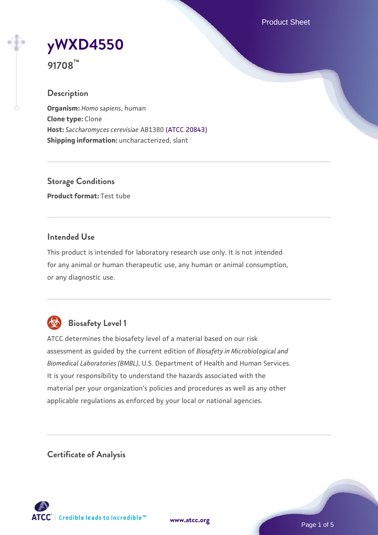Product Sheet



**91708™**

## **Description**

**Organism:** *Homo sapiens*, human **Clone type:** Clone **Host:** *Saccharomyces cerevisiae* AB1380 [\(ATCC 20843\)](https://www.atcc.org/products/20843) **Shipping information:** uncharacterized, slant

**Storage Conditions Product format:** Test tube

## **Intended Use**

This product is intended for laboratory research use only. It is not intended for any animal or human therapeutic use, any human or animal consumption, or any diagnostic use.



## **Biosafety Level 1**

ATCC determines the biosafety level of a material based on our risk assessment as guided by the current edition of *Biosafety in Microbiological and Biomedical Laboratories (BMBL)*, U.S. Department of Health and Human Services. It is your responsibility to understand the hazards associated with the material per your organization's policies and procedures as well as any other applicable regulations as enforced by your local or national agencies.

**Certificate of Analysis**

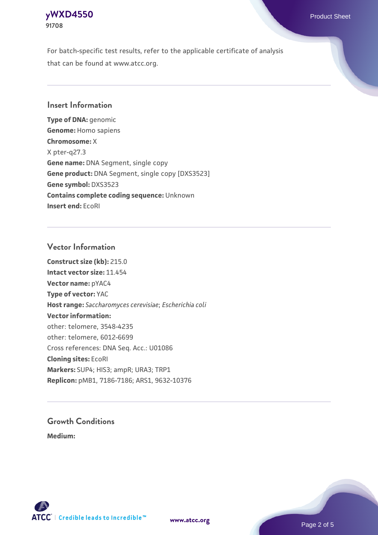## **[yWXD4550](https://www.atcc.org/products/91708)** Product Sheet **91708**

For batch-specific test results, refer to the applicable certificate of analysis that can be found at www.atcc.org.

## **Insert Information**

**Type of DNA:** genomic **Genome:** Homo sapiens **Chromosome:** X X pter-q27.3 **Gene name:** DNA Segment, single copy **Gene product:** DNA Segment, single copy [DXS3523] **Gene symbol:** DXS3523 **Contains complete coding sequence:** Unknown **Insert end:** EcoRI

## **Vector Information**

**Construct size (kb):** 215.0 **Intact vector size:** 11.454 **Vector name:** pYAC4 **Type of vector:** YAC **Host range:** *Saccharomyces cerevisiae*; *Escherichia coli* **Vector information:** other: telomere, 3548-4235 other: telomere, 6012-6699 Cross references: DNA Seq. Acc.: U01086 **Cloning sites:** EcoRI **Markers:** SUP4; HIS3; ampR; URA3; TRP1 **Replicon:** pMB1, 7186-7186; ARS1, 9632-10376

# **Growth Conditions**

**Medium:** 



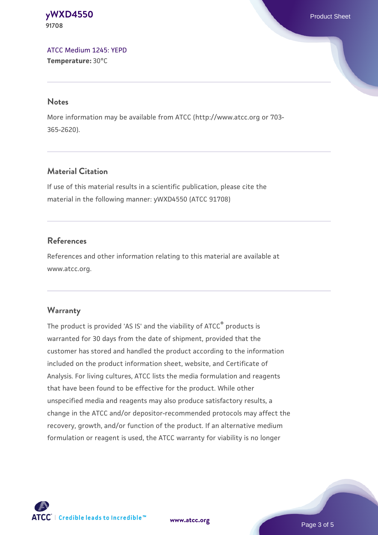#### **[yWXD4550](https://www.atcc.org/products/91708)** Product Sheet **91708**

[ATCC Medium 1245: YEPD](https://www.atcc.org/-/media/product-assets/documents/microbial-media-formulations/1/2/4/5/atcc-medium-1245.pdf?rev=705ca55d1b6f490a808a965d5c072196) **Temperature:** 30°C

#### **Notes**

More information may be available from ATCC (http://www.atcc.org or 703- 365-2620).

## **Material Citation**

If use of this material results in a scientific publication, please cite the material in the following manner: yWXD4550 (ATCC 91708)

## **References**

References and other information relating to this material are available at www.atcc.org.

## **Warranty**

The product is provided 'AS IS' and the viability of ATCC® products is warranted for 30 days from the date of shipment, provided that the customer has stored and handled the product according to the information included on the product information sheet, website, and Certificate of Analysis. For living cultures, ATCC lists the media formulation and reagents that have been found to be effective for the product. While other unspecified media and reagents may also produce satisfactory results, a change in the ATCC and/or depositor-recommended protocols may affect the recovery, growth, and/or function of the product. If an alternative medium formulation or reagent is used, the ATCC warranty for viability is no longer



**[www.atcc.org](http://www.atcc.org)**

Page 3 of 5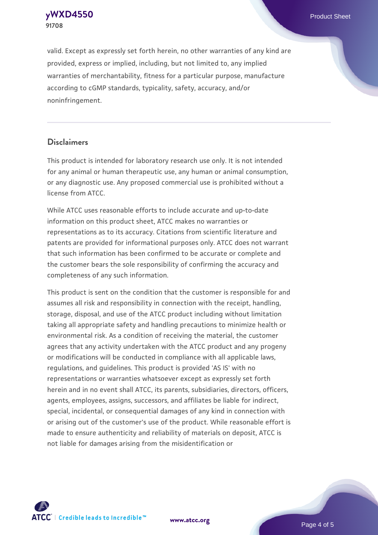**[yWXD4550](https://www.atcc.org/products/91708)** Product Sheet **91708**

valid. Except as expressly set forth herein, no other warranties of any kind are provided, express or implied, including, but not limited to, any implied warranties of merchantability, fitness for a particular purpose, manufacture according to cGMP standards, typicality, safety, accuracy, and/or noninfringement.

#### **Disclaimers**

This product is intended for laboratory research use only. It is not intended for any animal or human therapeutic use, any human or animal consumption, or any diagnostic use. Any proposed commercial use is prohibited without a license from ATCC.

While ATCC uses reasonable efforts to include accurate and up-to-date information on this product sheet, ATCC makes no warranties or representations as to its accuracy. Citations from scientific literature and patents are provided for informational purposes only. ATCC does not warrant that such information has been confirmed to be accurate or complete and the customer bears the sole responsibility of confirming the accuracy and completeness of any such information.

This product is sent on the condition that the customer is responsible for and assumes all risk and responsibility in connection with the receipt, handling, storage, disposal, and use of the ATCC product including without limitation taking all appropriate safety and handling precautions to minimize health or environmental risk. As a condition of receiving the material, the customer agrees that any activity undertaken with the ATCC product and any progeny or modifications will be conducted in compliance with all applicable laws, regulations, and guidelines. This product is provided 'AS IS' with no representations or warranties whatsoever except as expressly set forth herein and in no event shall ATCC, its parents, subsidiaries, directors, officers, agents, employees, assigns, successors, and affiliates be liable for indirect, special, incidental, or consequential damages of any kind in connection with or arising out of the customer's use of the product. While reasonable effort is made to ensure authenticity and reliability of materials on deposit, ATCC is not liable for damages arising from the misidentification or



**[www.atcc.org](http://www.atcc.org)**

Page 4 of 5